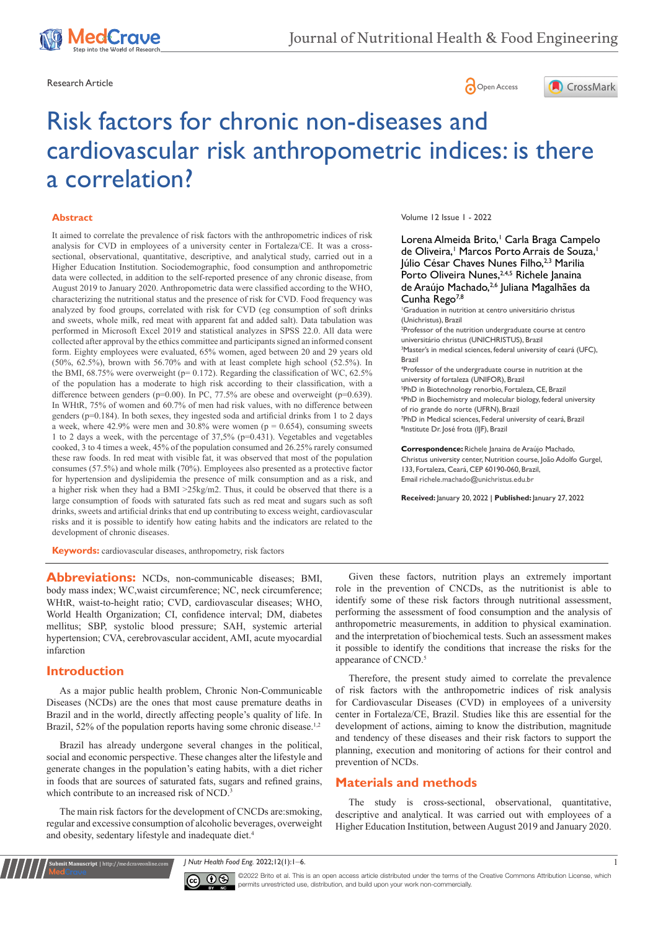





# Risk factors for chronic non-diseases and cardiovascular risk anthropometric indices: is there a correlation?

### **Abstract**

It aimed to correlate the prevalence of risk factors with the anthropometric indices of risk analysis for CVD in employees of a university center in Fortaleza/CE. It was a crosssectional, observational, quantitative, descriptive, and analytical study, carried out in a Higher Education Institution. Sociodemographic, food consumption and anthropometric data were collected, in addition to the self-reported presence of any chronic disease, from August 2019 to January 2020. Anthropometric data were classified according to the WHO, characterizing the nutritional status and the presence of risk for CVD. Food frequency was analyzed by food groups, correlated with risk for CVD (eg consumption of soft drinks and sweets, whole milk, red meat with apparent fat and added salt). Data tabulation was performed in Microsoft Excel 2019 and statistical analyzes in SPSS 22.0. All data were collected after approval by the ethics committee and participants signed an informed consent form. Eighty employees were evaluated, 65% women, aged between 20 and 29 years old (50%, 62.5%), brown with 56.70% and with at least complete high school (52.5%). In the BMI, 68.75% were overweight (p= 0.172). Regarding the classification of WC, 62.5% of the population has a moderate to high risk according to their classification, with a difference between genders (p=0.00). In PC, 77.5% are obese and overweight (p=0.639). In WHtR, 75% of women and 60.7% of men had risk values, with no difference between genders (p=0.184). In both sexes, they ingested soda and artificial drinks from 1 to 2 days a week, where 42.9% were men and 30.8% were women ( $p = 0.654$ ), consuming sweets 1 to 2 days a week, with the percentage of 37,5% (p=0.431). Vegetables and vegetables cooked, 3 to 4 times a week, 45% of the population consumed and 26.25% rarely consumed these raw foods. In red meat with visible fat, it was observed that most of the population consumes (57.5%) and whole milk (70%). Employees also presented as a protective factor for hypertension and dyslipidemia the presence of milk consumption and as a risk, and a higher risk when they had a BMI >25kg/m2. Thus, it could be observed that there is a large consumption of foods with saturated fats such as red meat and sugars such as soft drinks, sweets and artificial drinks that end up contributing to excess weight, cardiovascular risks and it is possible to identify how eating habits and the indicators are related to the development of chronic diseases.

Volume 12 Issue 1 - 2022

Lorena Almeida Brito,<sup>1</sup> Carla Braga Campelo de Oliveira,<sup>1</sup> Marcos Porto Arrais de Souza,<sup>1</sup> Iúlio César Chaves Nunes Filho, 2,3 Marilia Porto Oliveira Nunes, 2,4,5 Richele Janaina de Araújo Machado,2,6 Juliana Magalhães da Cunha Rego $7,8$ 

 Graduation in nutrition at centro universitário christus (Unichristus), Brazil Professor of the nutrition undergraduate course at centro universitário christus (UNICHRISTUS), Brazil Master's in medical sciences, federal university of ceará (UFC), Brazil Professor of the undergraduate course in nutrition at the university of fortaleza (UNIFOR), Brazil PhD in Biotechnology renorbio, Fortaleza, CE, Brazil PhD in Biochemistry and molecular biology, federal university of rio grande do norte (UFRN), Brazil PhD in Medical sciences, Federal university of ceará, Brazil Institute Dr. José frota (IJF), Brazil

**Correspondence:** Richele Janaina de Araújo Machado, Christus university center, Nutrition course, João Adolfo Gurgel, 133, Fortaleza, Ceará, CEP 60190-060, Brazil, Email richele.machado@unichristus.edu.br

**Received:** January 20, 2022 | **Published:** January 27, 2022

**Keywords:** cardiovascular diseases, anthropometry, risk factors

**Abbreviations:** NCDs, non-communicable diseases; BMI, body mass index; WC,waist circumference; NC, neck circumference; WHtR, waist-to-height ratio; CVD, cardiovascular diseases; WHO, World Health Organization; CI, confidence interval; DM, diabetes mellitus; SBP, systolic blood pressure; SAH, systemic arterial hypertension; CVA, cerebrovascular accident, AMI, acute myocardial infarction

## **Introduction**

**it Manuscript** | http://medcraveonline.c

As a major public health problem, Chronic Non-Communicable Diseases (NCDs) are the ones that most cause premature deaths in Brazil and in the world, directly affecting people's quality of life. In Brazil, 52% of the population reports having some chronic disease.<sup>1,2</sup>

Brazil has already undergone several changes in the political, social and economic perspective. These changes alter the lifestyle and generate changes in the population's eating habits, with a diet richer in foods that are sources of saturated fats, sugars and refined grains, which contribute to an increased risk of NCD.<sup>3</sup>

The main risk factors for the development of CNCDs are:smoking, regular and excessive consumption of alcoholic beverages, overweight and obesity, sedentary lifestyle and inadequate diet.<sup>4</sup>

Given these factors, nutrition plays an extremely important role in the prevention of CNCDs, as the nutritionist is able to identify some of these risk factors through nutritional assessment, performing the assessment of food consumption and the analysis of anthropometric measurements, in addition to physical examination. and the interpretation of biochemical tests. Such an assessment makes it possible to identify the conditions that increase the risks for the appearance of CNCD.<sup>5</sup>

Therefore, the present study aimed to correlate the prevalence of risk factors with the anthropometric indices of risk analysis for Cardiovascular Diseases (CVD) in employees of a university center in Fortaleza/CE, Brazil. Studies like this are essential for the development of actions, aiming to know the distribution, magnitude and tendency of these diseases and their risk factors to support the planning, execution and monitoring of actions for their control and prevention of NCDs.

# **Materials and methods**

The study is cross-sectional, observational, quantitative, descriptive and analytical. It was carried out with employees of a Higher Education Institution, between August 2019 and January 2020.

*J Nutr Health Food Eng.* 2022;12(1):1‒6. 1



 $\boxed{\mathbf{c}}$   $\boxed{\mathbf{c}}$   $\boxed{\mathbf{c}}$   $\boxed{\mathbf{c}}$   $\boxed{\mathbf{c}}$  and  $\boxed{\mathbf{c}}$  and  $\boxed{\mathbf{c}}$  and  $\boxed{\mathbf{c}}$  and  $\boxed{\mathbf{c}}$  and  $\boxed{\mathbf{c}}$  and  $\boxed{\mathbf{c}}$  and  $\boxed{\mathbf{c}}$  and  $\boxed{\mathbf{c}}$  and  $\boxed{\mathbf{c}}$  and  $\boxed{\mathbf{c}}$  and  $\boxed{\mathbf{c}}$  an permits unrestricted use, distribution, and build upon your work non-commercially.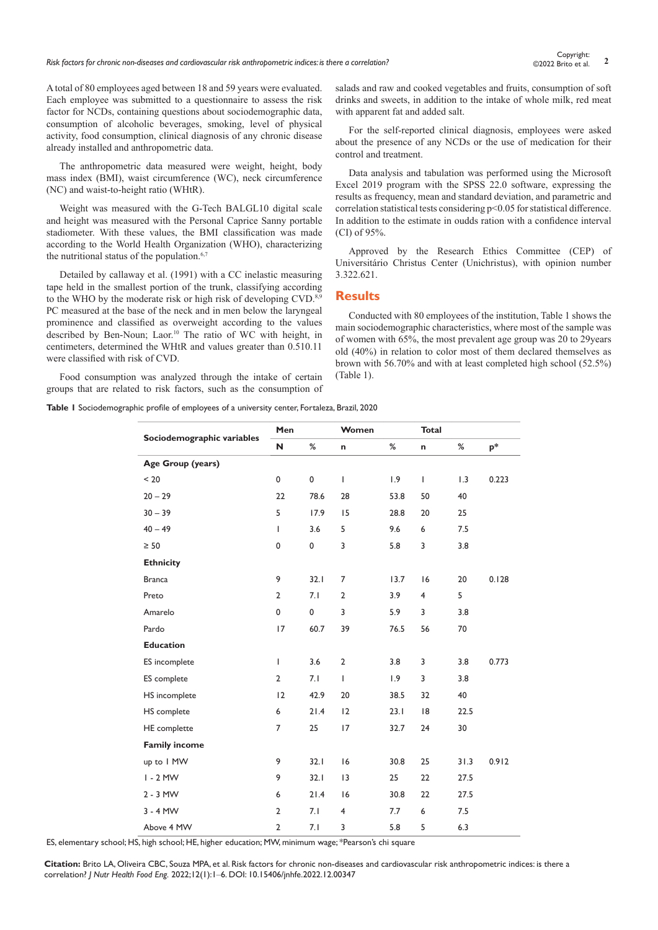*Risk factors for chronic non-diseases and cardiovascular risk anthropometric indices: is there a correlation?* **<sup>2</sup>** Copyright:

A total of 80 employees aged between 18 and 59 years were evaluated. Each employee was submitted to a questionnaire to assess the risk factor for NCDs, containing questions about sociodemographic data, consumption of alcoholic beverages, smoking, level of physical activity, food consumption, clinical diagnosis of any chronic disease already installed and anthropometric data.

The anthropometric data measured were weight, height, body mass index (BMI), waist circumference (WC), neck circumference (NC) and waist-to-height ratio (WHtR).

Weight was measured with the G-Tech BALGL10 digital scale and height was measured with the Personal Caprice Sanny portable stadiometer. With these values, the BMI classification was made according to the World Health Organization (WHO), characterizing the nutritional status of the population.<sup>6,7</sup>

Detailed by callaway et al. (1991) with a CC inelastic measuring tape held in the smallest portion of the trunk, classifying according to the WHO by the moderate risk or high risk of developing CVD.<sup>8,9</sup> PC measured at the base of the neck and in men below the laryngeal prominence and classified as overweight according to the values described by Ben-Noun; Laor.<sup>10</sup> The ratio of WC with height, in centimeters, determined the WHtR and values greater than 0.510.11 were classified with risk of CVD.

Food consumption was analyzed through the intake of certain groups that are related to risk factors, such as the consumption of salads and raw and cooked vegetables and fruits, consumption of soft drinks and sweets, in addition to the intake of whole milk, red meat with apparent fat and added salt.

For the self-reported clinical diagnosis, employees were asked about the presence of any NCDs or the use of medication for their control and treatment.

Data analysis and tabulation was performed using the Microsoft Excel 2019 program with the SPSS 22.0 software, expressing the results as frequency, mean and standard deviation, and parametric and correlation statistical tests considering p<0.05 for statistical difference. In addition to the estimate in oudds ration with a confidence interval (CI) of 95%.

Approved by the Research Ethics Committee (CEP) of Universitário Christus Center (Unichristus), with opinion number 3.322.621.

#### **Results**

Conducted with 80 employees of the institution, Table 1 shows the main sociodemographic characteristics, where most of the sample was of women with 65%, the most prevalent age group was 20 to 29years old (40%) in relation to color most of them declared themselves as brown with 56.70% and with at least completed high school (52.5%) (Table 1).

**Table 1** Sociodemographic profile of employees of a university center, Fortaleza, Brazil, 2020

| Sociodemographic variables | Men            |           | Women          |      | <b>Total</b>   |      |       |
|----------------------------|----------------|-----------|----------------|------|----------------|------|-------|
|                            | N              | $\%$      | n              | $\%$ | n              | %    | $p^*$ |
| Age Group (years)          |                |           |                |      |                |      |       |
| < 20                       | 0              | $\pmb{0}$ | I              | 1.9  | T              | 1.3  | 0.223 |
| $20 - 29$                  | 22             | 78.6      | 28             | 53.8 | 50             | 40   |       |
| $30 - 39$                  | 5              | 17.9      | 15             | 28.8 | 20             | 25   |       |
| $40 - 49$                  | T              | 3.6       | 5              | 9.6  | 6              | 7.5  |       |
| $\geq 50$                  | 0              | 0         | 3              | 5.8  | 3              | 3.8  |       |
| <b>Ethnicity</b>           |                |           |                |      |                |      |       |
| <b>Branca</b>              | 9              | 32.1      | $\overline{7}$ | 13.7 | 16             | 20   | 0.128 |
| Preto                      | $\overline{2}$ | 7.1       | $\overline{2}$ | 3.9  | $\overline{4}$ | 5    |       |
| Amarelo                    | 0              | 0         | 3              | 5.9  | 3              | 3.8  |       |
| Pardo                      | 17             | 60.7      | 39             | 76.5 | 56             | 70   |       |
| <b>Education</b>           |                |           |                |      |                |      |       |
| ES incomplete              | T              | 3.6       | $\overline{2}$ | 3.8  | 3              | 3.8  | 0.773 |
| ES complete                | $\overline{2}$ | 7.1       | I              | 1.9  | 3              | 3.8  |       |
| HS incomplete              | 12             | 42.9      | 20             | 38.5 | 32             | 40   |       |
| HS complete                | 6              | 21.4      | 12             | 23.1 | 18             | 22.5 |       |
| <b>HE</b> complette        | 7              | 25        | 17             | 32.7 | 24             | 30   |       |
| <b>Family income</b>       |                |           |                |      |                |      |       |
| up to I MW                 | 9              | 32.1      | 16             | 30.8 | 25             | 31.3 | 0.912 |
| $I - 2$ MW                 | 9              | 32.1      | 13             | 25   | 22             | 27.5 |       |
| $2 - 3$ MW                 | 6              | 21.4      | 16             | 30.8 | 22             | 27.5 |       |
| $3 - 4$ MW                 | $\overline{2}$ | 7.1       | $\overline{4}$ | 7.7  | 6              | 7.5  |       |
| Above 4 MW                 | $\overline{2}$ | 7.1       | 3              | 5.8  | 5              | 6.3  |       |

ES, elementary school; HS, high school; HE, higher education; MW, minimum wage; \*Pearson's chi square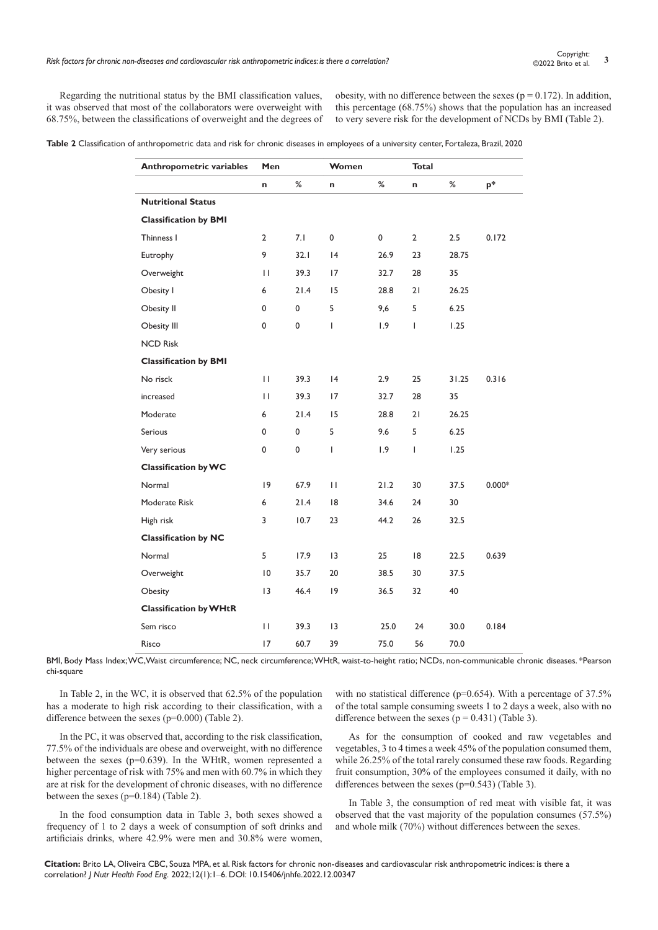Regarding the nutritional status by the BMI classification values, it was observed that most of the collaborators were overweight with 68.75%, between the classifications of overweight and the degrees of

obesity, with no difference between the sexes ( $p = 0.172$ ). In addition, this percentage (68.75%) shows that the population has an increased to very severe risk for the development of NCDs by BMI (Table 2).

**Table 2** Classification of anthropometric data and risk for chronic diseases in employees of a university center, Fortaleza, Brazil, 2020

| <b>Anthropometric variables</b> | Men            |             | Women           |      | <b>Total</b>   |       |          |
|---------------------------------|----------------|-------------|-----------------|------|----------------|-------|----------|
|                                 | n              | %           | n               | %    | n              | %     | p*       |
| <b>Nutritional Status</b>       |                |             |                 |      |                |       |          |
| <b>Classification by BMI</b>    |                |             |                 |      |                |       |          |
| Thinness I                      | $\overline{2}$ | 7.1         | 0               | 0    | $\overline{2}$ | 2.5   | 0.172    |
| Eutrophy                        | 9              | 32.1        | 4               | 26.9 | 23             | 28.75 |          |
| Overweight                      | П              | 39.3        | 17              | 32.7 | 28             | 35    |          |
| Obesity I                       | 6              | 21.4        | 15              | 28.8 | 21             | 26.25 |          |
| Obesity II                      | 0              | $\mathbf 0$ | 5               | 9,6  | 5              | 6.25  |          |
| Obesity III                     | 0              | 0           | T               | 1.9  | T              | 1.25  |          |
| <b>NCD Risk</b>                 |                |             |                 |      |                |       |          |
| <b>Classification by BMI</b>    |                |             |                 |      |                |       |          |
| No risck                        | $\mathbf{H}$   | 39.3        | 4               | 2.9  | 25             | 31.25 | 0.316    |
| increased                       | П              | 39.3        | 17              | 32.7 | 28             | 35    |          |
| Moderate                        | 6              | 21.4        | 15              | 28.8 | 21             | 26.25 |          |
| <b>Serious</b>                  | 0              | $\mathbf 0$ | 5               | 9.6  | 5              | 6.25  |          |
| Very serious                    | 0              | 0           | T               | 1.9  | L              | 1.25  |          |
| <b>Classification by WC</b>     |                |             |                 |      |                |       |          |
| Normal                          | $ 9\rangle$    | 67.9        | $\mathbf{H}$    | 21.2 | 30             | 37.5  | $0.000*$ |
| Moderate Risk                   | 6              | 21.4        | 18              | 34.6 | 24             | 30    |          |
| High risk                       | 3              | 10.7        | 23              | 44.2 | 26             | 32.5  |          |
| <b>Classification by NC</b>     |                |             |                 |      |                |       |          |
| Normal                          | 5              | 17.9        | $\overline{13}$ | 25   | 18             | 22.5  | 0.639    |
| Overweight                      | 10             | 35.7        | 20              | 38.5 | 30             | 37.5  |          |
| Obesity                         | 3              | 46.4        | $ 9\rangle$     | 36.5 | 32             | 40    |          |
| <b>Classification by WHtR</b>   |                |             |                 |      |                |       |          |
| Sem risco                       | П              | 39.3        | 13              | 25.0 | 24             | 30.0  | 0.184    |
| Risco                           | 17             | 60.7        | 39              | 75.0 | 56             | 70.0  |          |

BMI, Body Mass Index; WC,Waist circumference; NC, neck circumference; WHtR, waist-to-height ratio; NCDs, non-communicable chronic diseases. \*Pearson chi-square

In Table 2, in the WC, it is observed that 62.5% of the population has a moderate to high risk according to their classification, with a difference between the sexes (p=0.000) (Table 2).

In the PC, it was observed that, according to the risk classification, 77.5% of the individuals are obese and overweight, with no difference between the sexes (p=0.639). In the WHtR, women represented a higher percentage of risk with 75% and men with 60.7% in which they are at risk for the development of chronic diseases, with no difference between the sexes (p=0.184) (Table 2).

In the food consumption data in Table 3, both sexes showed a frequency of 1 to 2 days a week of consumption of soft drinks and artificiais drinks, where 42.9% were men and 30.8% were women,

with no statistical difference ( $p=0.654$ ). With a percentage of 37.5% of the total sample consuming sweets 1 to 2 days a week, also with no difference between the sexes ( $p = 0.431$ ) (Table 3).

As for the consumption of cooked and raw vegetables and vegetables, 3 to 4 times a week 45% of the population consumed them, while 26.25% of the total rarely consumed these raw foods. Regarding fruit consumption, 30% of the employees consumed it daily, with no differences between the sexes (p=0.543) (Table 3).

In Table 3, the consumption of red meat with visible fat, it was observed that the vast majority of the population consumes (57.5%) and whole milk (70%) without differences between the sexes.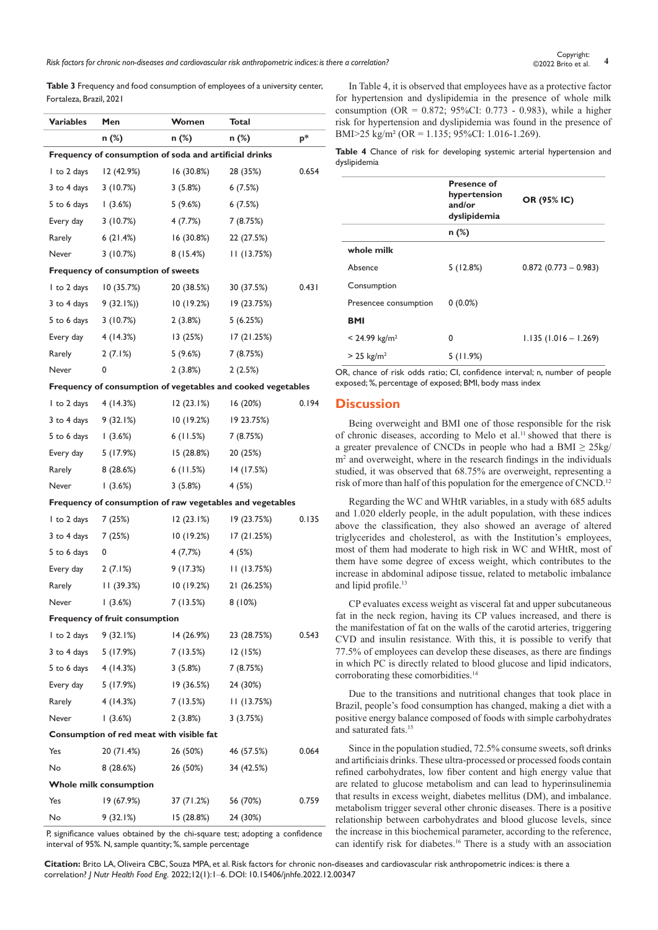*Risk factors for chronic non-diseases and cardiovascular risk anthropometric indices: is there a correlation?* **<sup>4</sup>** Copyright:

**Table 3** Frequency and food consumption of employees of a university center, Fortaleza, Brazil, 2021

| <b>Variables</b>      | Men                                                          | Women             | Total       |       |
|-----------------------|--------------------------------------------------------------|-------------------|-------------|-------|
|                       | $n$ (%)                                                      | n (%)             | n (%)       | $p^*$ |
|                       | Frequency of consumption of soda and artificial drinks       |                   |             |       |
| I to 2 days           | 12 (42.9%)                                                   | 16(30.8%)         | 28 (35%)    | 0.654 |
| 3 to 4 days           | 3(10.7%)                                                     | 3(5.8%)           | 6(7.5%)     |       |
| 5 to 6 days           | (3.6%)                                                       | 5 (9.6%)          | 6(7.5%)     |       |
| Every day             | 3(10.7%)                                                     | 4 (7.7%)          | 7 (8.75%)   |       |
| Rarely                | 6(21.4%)                                                     | 16(30.8%)         | 22 (27.5%)  |       |
| Never                 | 3(10.7%)                                                     | 8(15.4%)          | II (13.75%) |       |
|                       | Frequency of consumption of sweets                           |                   |             |       |
| I to 2 days           | 10(35.7%)                                                    | 20 (38.5%)        | 30 (37.5%)  | 0.431 |
| 3 to 4 days           | $9(32.1\%)$                                                  | 10(19.2%)         | 19 (23.75%) |       |
| 5 to 6 days           | 3(10.7%)                                                     | 2(3.8%)           | 5(6.25%)    |       |
| Every day             | 4(14.3%)                                                     | 13(25%)           | 17(21.25%)  |       |
| Rarely                | 2(7.1%)                                                      | 5 (9.6%)          | 7 (8.75%)   |       |
| Never                 | 0                                                            | 2(3.8%)           | 2(2.5%)     |       |
|                       | Frequency of consumption of vegetables and cooked vegetables |                   |             |       |
| I to 2 days           | 4 (14.3%)                                                    | 12(23.1%)         | 16 (20%)    | 0.194 |
| 3 to 4 days 9 (32.1%) |                                                              | 10(19.2%)         | 19 23.75%)  |       |
| 5 to 6 days           | (3.6%)                                                       | 6(11.5%)          | 7 (8.75%)   |       |
| Every day             | 5 (17.9%)                                                    | 15 (28.8%)        | 20 (25%)    |       |
| Rarely                | 8(28.6%)                                                     | 6(11.5%)          | 14 (17.5%)  |       |
| Never                 | (3.6%)                                                       | 3(5.8%)           | 4 (5%)      |       |
|                       | Frequency of consumption of raw vegetables and vegetables    |                   |             |       |
| I to 2 days           | 7 (25%)                                                      | 12(23.1%)         | 19 (23.75%) | 0.135 |
| 3 to 4 days           | 7(25%)                                                       | 10(19.2%)         | 17(21.25%)  |       |
| 5 to 6 days           | 0                                                            | 4(7,7%)           | 4 (5%)      |       |
| Every day             | 2(7.1%)                                                      | 9 (17.3%)         | 11(13.75%)  |       |
| Rarely                | 11(39.3%)                                                    | 10(19.2%)         | 21 (26.25%) |       |
| Never                 | 1(3.6%)                                                      | 7(13.5%)          | 8(10%)      |       |
|                       | <b>Frequency of fruit consumption</b>                        |                   |             |       |
| 1 to 2 days 9 (32.1%) |                                                              | <u>14 (26.9%)</u> | 23 (28.75%) | 0.543 |
| 3 to 4 days 5 (17.9%) |                                                              | 7 (13.5%)         | 12(15%)     |       |
| 5 to 6 days           | 4 (14.3%)                                                    | 3 (5.8%)          | 7 (8.75%)   |       |
| Every day 5 (17.9%)   |                                                              | 19(36.5%)         | 24 (30%)    |       |
| Rarely                | 4(14.3%)                                                     | 7 (13.5%)         | 11(13.75%)  |       |
| Never                 | (3.6%)                                                       | 2(3.8%)           | 3(3.75%)    |       |
|                       | Consumption of red meat with visible fat                     |                   |             |       |
| Yes                   | 20 (71.4%)                                                   | 26 (50%)          | 46 (57.5%)  | 0.064 |
| No                    | 8 (28.6%)                                                    | 26 (50%)          | 34 (42.5%)  |       |
|                       | Whole milk consumption                                       |                   |             |       |
| Yes                   | 19 (67.9%)                                                   | 37 (71.2%)        | 56 (70%)    | 0.759 |
| No                    | 9 (32.1%)                                                    | 15(28.8%)         | 24 (30%)    |       |

P, significance values obtained by the chi-square test; adopting a confidence interval of 95%. N, sample quantity; %, sample percentage

In Table 4, it is observed that employees have as a protective factor for hypertension and dyslipidemia in the presence of whole milk consumption (OR =  $0.872$ ; 95%CI: 0.773 - 0.983), while a higher risk for hypertension and dyslipidemia was found in the presence of BMI>25 kg/m² (OR = 1.135; 95%CI: 1.016-1.269).

**Table 4** Chance of risk for developing systemic arterial hypertension and dyslipidemia

|                             | <b>Presence of</b><br>hypertension<br>and/or<br>dyslipidemia | OR (95% IC)             |
|-----------------------------|--------------------------------------------------------------|-------------------------|
|                             | n (%)                                                        |                         |
| whole milk                  |                                                              |                         |
| Absence                     | 5(12.8%)                                                     | $0.872$ (0.773 - 0.983) |
| Consumption                 |                                                              |                         |
| Presencee consumption       | $0(0.0\%)$                                                   |                         |
| BMI                         |                                                              |                         |
| $< 24.99$ kg/m <sup>2</sup> | 0                                                            | $1.135(1.016 - 1.269)$  |
| $> 25 \text{ kg/m}^2$       | 5(11.9%)                                                     |                         |

OR, chance of risk odds ratio; CI, confidence interval; n, number of people exposed; %, percentage of exposed; BMI, body mass index

# **Discussion**

Being overweight and BMI one of those responsible for the risk of chronic diseases, according to Melo et al.<sup>11</sup> showed that there is a greater prevalence of CNCDs in people who had a BMI  $\geq 25$ kg/ m<sup>2</sup> and overweight, where in the research findings in the individuals studied, it was observed that 68.75% are overweight, representing a risk of more than half of this population for the emergence of CNCD.<sup>12</sup>

Regarding the WC and WHtR variables, in a study with 685 adults and 1.020 elderly people, in the adult population, with these indices above the classification, they also showed an average of altered triglycerides and cholesterol, as with the Institution's employees, most of them had moderate to high risk in WC and WHtR, most of them have some degree of excess weight, which contributes to the increase in abdominal adipose tissue, related to metabolic imbalance and lipid profile.<sup>13</sup>

CP evaluates excess weight as visceral fat and upper subcutaneous fat in the neck region, having its CP values increased, and there is the manifestation of fat on the walls of the carotid arteries, triggering CVD and insulin resistance. With this, it is possible to verify that 77.5% of employees can develop these diseases, as there are findings in which PC is directly related to blood glucose and lipid indicators, corroborating these comorbidities.<sup>14</sup>

Due to the transitions and nutritional changes that took place in Brazil, people's food consumption has changed, making a diet with a positive energy balance composed of foods with simple carbohydrates and saturated fats.<sup>15</sup>

Since in the population studied, 72.5% consume sweets, soft drinks and artificiais drinks. These ultra-processed or processed foods contain refined carbohydrates, low fiber content and high energy value that are related to glucose metabolism and can lead to hyperinsulinemia that results in excess weight, diabetes mellitus (DM), and imbalance. metabolism trigger several other chronic diseases. There is a positive relationship between carbohydrates and blood glucose levels, since the increase in this biochemical parameter, according to the reference, can identify risk for diabetes.16 There is a study with an association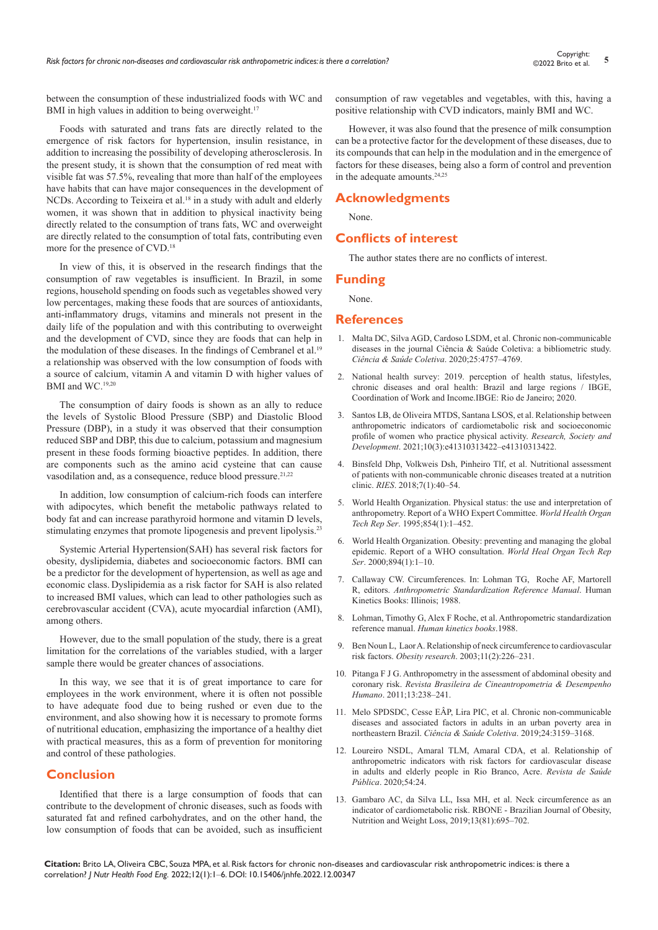between the consumption of these industrialized foods with WC and BMI in high values in addition to being overweight.<sup>17</sup>

Foods with saturated and trans fats are directly related to the emergence of risk factors for hypertension, insulin resistance, in addition to increasing the possibility of developing atherosclerosis. In the present study, it is shown that the consumption of red meat with visible fat was 57.5%, revealing that more than half of the employees have habits that can have major consequences in the development of NCDs. According to Teixeira et al.<sup>18</sup> in a study with adult and elderly women, it was shown that in addition to physical inactivity being directly related to the consumption of trans fats, WC and overweight are directly related to the consumption of total fats, contributing even more for the presence of CVD.18

In view of this, it is observed in the research findings that the consumption of raw vegetables is insufficient. In Brazil, in some regions, household spending on foods such as vegetables showed very low percentages, making these foods that are sources of antioxidants, anti-inflammatory drugs, vitamins and minerals not present in the daily life of the population and with this contributing to overweight and the development of CVD, since they are foods that can help in the modulation of these diseases. In the findings of Cembranel et al.<sup>19</sup> a relationship was observed with the low consumption of foods with a source of calcium, vitamin A and vitamin D with higher values of BMI and WC.19,20

The consumption of dairy foods is shown as an ally to reduce the levels of Systolic Blood Pressure (SBP) and Diastolic Blood Pressure (DBP), in a study it was observed that their consumption reduced SBP and DBP, this due to calcium, potassium and magnesium present in these foods forming bioactive peptides. In addition, there are components such as the amino acid cysteine that can cause vasodilation and, as a consequence, reduce blood pressure.<sup>21,22</sup>

In addition, low consumption of calcium-rich foods can interfere with adipocytes, which benefit the metabolic pathways related to body fat and can increase parathyroid hormone and vitamin D levels, stimulating enzymes that promote lipogenesis and prevent lipolysis.<sup>23</sup>

Systemic Arterial Hypertension(SAH) has several risk factors for obesity, dyslipidemia, diabetes and socioeconomic factors. BMI can be a predictor for the development of hypertension, as well as age and economic class. Dyslipidemia as a risk factor for SAH is also related to increased BMI values, which can lead to other pathologies such as cerebrovascular accident (CVA), acute myocardial infarction (AMI), among others.

However, due to the small population of the study, there is a great limitation for the correlations of the variables studied, with a larger sample there would be greater chances of associations.

In this way, we see that it is of great importance to care for employees in the work environment, where it is often not possible to have adequate food due to being rushed or even due to the environment, and also showing how it is necessary to promote forms of nutritional education, emphasizing the importance of a healthy diet with practical measures, this as a form of prevention for monitoring and control of these pathologies.

# **Conclusion**

Identified that there is a large consumption of foods that can contribute to the development of chronic diseases, such as foods with saturated fat and refined carbohydrates, and on the other hand, the low consumption of foods that can be avoided, such as insufficient consumption of raw vegetables and vegetables, with this, having a positive relationship with CVD indicators, mainly BMI and WC.

However, it was also found that the presence of milk consumption can be a protective factor for the development of these diseases, due to its compounds that can help in the modulation and in the emergence of factors for these diseases, being also a form of control and prevention in the adequate amounts.<sup>24,25</sup>

### **Acknowledgments**

None.

## **Conflicts of interest**

The author states there are no conflicts of interest.

#### **Funding**

None.

#### **References**

- 1. [Malta DC, Silva AGD, Cardoso LSDM, et al. Chronic non-communicable](https://www.scielo.br/j/csc/a/nVqKXc5wPpsPNgTKc9fHBpt/abstract/?lang=pt)  [diseases in the journal Ciência & Saúde Coletiva: a bibliometric study.](https://www.scielo.br/j/csc/a/nVqKXc5wPpsPNgTKc9fHBpt/abstract/?lang=pt)  *[Ciência & Saúde Coletiva](https://www.scielo.br/j/csc/a/nVqKXc5wPpsPNgTKc9fHBpt/abstract/?lang=pt)*. 2020;25:4757–4769.
- 2. [National health survey: 2019. perception of health status, lifestyles,](https://www.ibge.gov.br/en/statistics/social/justice-and-security/16840-national-survey-of-health.html?edicao=19375&t=sobre)  [chronic diseases and oral health: Brazil and large regions / IBGE,](https://www.ibge.gov.br/en/statistics/social/justice-and-security/16840-national-survey-of-health.html?edicao=19375&t=sobre)  [Coordination of Work and Income.IBGE: Rio de Janeiro; 2020.](https://www.ibge.gov.br/en/statistics/social/justice-and-security/16840-national-survey-of-health.html?edicao=19375&t=sobre)
- 3. [Santos LB, de Oliveira MTDS, Santana LSOS, et al. Relationship between](https://rsdjournal.org/index.php/rsd/article/view/13422)  [anthropometric indicators of cardiometabolic risk and socioeconomic](https://rsdjournal.org/index.php/rsd/article/view/13422)  [profile of women who practice physical activity.](https://rsdjournal.org/index.php/rsd/article/view/13422) *Research, Society and Development*. [2021;10\(3\):e41310313422–e41310313422.](https://rsdjournal.org/index.php/rsd/article/view/13422)
- 4. [Binsfeld Dhp, Volkweis Dsh, Pinheiro Tlf, et al. Nutritional assessment](https://www.scielo.br/j/cadsc/a/5HnH3wxPncFS6DLZHxRLSTq/?lang=pt)  [of patients with non-communicable chronic diseases treated at a nutrition](https://www.scielo.br/j/cadsc/a/5HnH3wxPncFS6DLZHxRLSTq/?lang=pt)  clinic. *RIES*[. 2018;7\(1\):40–54.](https://www.scielo.br/j/cadsc/a/5HnH3wxPncFS6DLZHxRLSTq/?lang=pt)
- 5. [World Health Organization. Physical status: the use and interpretation of](https://pubmed.ncbi.nlm.nih.gov/8594834/)  [anthropometry. Report of a WHO Expert Committee.](https://pubmed.ncbi.nlm.nih.gov/8594834/) *World Health Organ Tech Rep Ser*[. 1995;854\(1\):1–452.](https://pubmed.ncbi.nlm.nih.gov/8594834/)
- 6. [World Health Organization. Obesity: preventing and managing the global](https://pubmed.ncbi.nlm.nih.gov/11234459/)  [epidemic. Report of a WHO consultation.](https://pubmed.ncbi.nlm.nih.gov/11234459/) *World Heal Organ Tech Rep Ser*[. 2000;894\(1\):1–10.](https://pubmed.ncbi.nlm.nih.gov/11234459/)
- 7. [Callaway CW. Circumferences. In: Lohman TG, Roche AF, Martorell](https://www.scirp.org/(S(i43dyn45teexjx455qlt3d2q))/reference/ReferencesPapers.aspx?ReferenceID=1080812)  R, editors. *[Anthropometric Standardization Reference Manual](https://www.scirp.org/(S(i43dyn45teexjx455qlt3d2q))/reference/ReferencesPapers.aspx?ReferenceID=1080812)*. Human [Kinetics Books: Illinois; 1988.](https://www.scirp.org/(S(i43dyn45teexjx455qlt3d2q))/reference/ReferencesPapers.aspx?ReferenceID=1080812)
- 8. Lohman, Timothy G, Alex F Roche, et al. [Anthropometric standardization](https://agris.fao.org/agris-search/search.do?recordID=US201300683431)  reference manual. *[Human kinetics books](https://agris.fao.org/agris-search/search.do?recordID=US201300683431)*.1988.
- 9. [Ben Noun L, Laor A. Relationship of neck circumference to cardiovascular](http://doi.wiley.com/10.1038/oby.2003.35)  risk factors. *Obesity research*. [2003;11\(2\):226–231.](http://doi.wiley.com/10.1038/oby.2003.35)
- 10. [Pitanga F J G. Anthropometry in the assessment of abdominal obesity and](http://www.scielo.br/scielo.php?script=sci_arttext&pid=S1980- 00372011000300012&lng=en&nrm=iso&tlng=pt.)  coronary risk. *[Revista Brasileira de Cineantropometria & Desempenho](http://www.scielo.br/scielo.php?script=sci_arttext&pid=S1980- 00372011000300012&lng=en&nrm=iso&tlng=pt.)  Humano*. [2011;13:238–241.](http://www.scielo.br/scielo.php?script=sci_arttext&pid=S1980- 00372011000300012&lng=en&nrm=iso&tlng=pt.)
- 11. [Melo SPDSDC, Cesse EÂP, Lira PIC, et al. Chronic non-communicable](https://www.scielosp.org/article/csc/2019.v24n8/3159-3168/pt/)  [diseases and associated factors in adults in an urban poverty area in](https://www.scielosp.org/article/csc/2019.v24n8/3159-3168/pt/)  northeastern Brazil. *[Ciência & Saúde Coletiva](https://www.scielosp.org/article/csc/2019.v24n8/3159-3168/pt/)*. 2019;24:3159–3168.
- 12. [Loureiro NSDL, Amaral TLM, Amaral CDA, et al. Relationship of](https://www.scielosp.org/article/rsp/2020.v54/24/pt/)  [anthropometric indicators with risk factors for cardiovascular disease](https://www.scielosp.org/article/rsp/2020.v54/24/pt/)  [in adults and elderly people in Rio Branco, Acre.](https://www.scielosp.org/article/rsp/2020.v54/24/pt/) *Revista de Saúde Pública*. [2020;54:24.](https://www.scielosp.org/article/rsp/2020.v54/24/pt/)
- 13. [Gambaro AC, da Silva LL, Issa MH, et al. Neck circumference as an](http://www.rbone.com.br/index.php/rbone/article/view/1043)  [indicator of cardiometabolic risk. RBONE - Brazilian Journal of Obesity,](http://www.rbone.com.br/index.php/rbone/article/view/1043)  [Nutrition and Weight Loss,](http://www.rbone.com.br/index.php/rbone/article/view/1043) 2019;13(81):695–702.